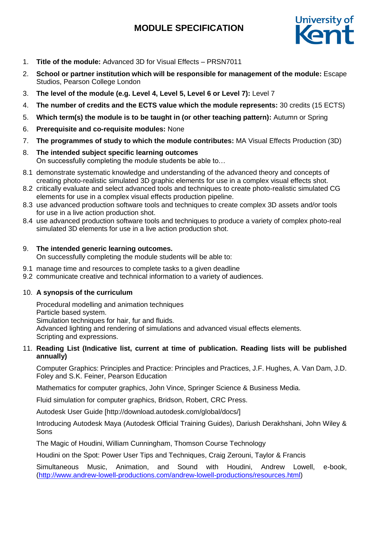# **MODULE SPECIFICATION**



- 1. **Title of the module:** Advanced 3D for Visual Effects PRSN7011
- 2. **School or partner institution which will be responsible for management of the module:** Escape Studios, Pearson College London
- 3. **The level of the module (e.g. Level 4, Level 5, Level 6 or Level 7):** Level 7
- 4. **The number of credits and the ECTS value which the module represents:** 30 credits (15 ECTS)
- 5. **Which term(s) the module is to be taught in (or other teaching pattern):** Autumn or Spring
- 6. **Prerequisite and co-requisite modules:** None
- 7. **The programmes of study to which the module contributes:** MA Visual Effects Production (3D)
- 8. **The intended subject specific learning outcomes** On successfully completing the module students be able to…
- 8.1 demonstrate systematic knowledge and understanding of the advanced theory and concepts of creating photo-realistic simulated 3D graphic elements for use in a complex visual effects shot.
- 8.2 critically evaluate and select advanced tools and techniques to create photo-realistic simulated CG elements for use in a complex visual effects production pipeline.
- 8.3 use advanced production software tools and techniques to create complex 3D assets and/or tools for use in a live action production shot.
- 8.4 use advanced production software tools and techniques to produce a variety of complex photo-real simulated 3D elements for use in a live action production shot.

## 9. **The intended generic learning outcomes.**

On successfully completing the module students will be able to:

- 9.1 manage time and resources to complete tasks to a given deadline
- 9.2 communicate creative and technical information to a variety of audiences.

### 10. **A synopsis of the curriculum**

Procedural modelling and animation techniques Particle based system. Simulation techniques for hair, fur and fluids. Advanced lighting and rendering of simulations and advanced visual effects elements. Scripting and expressions.

### 11. **Reading List (Indicative list, current at time of publication. Reading lists will be published annually)**

Computer Graphics: Principles and Practice: Principles and Practices, J.F. Hughes, A. Van Dam, J.D. Foley and S.K. Feiner, Pearson Education

Mathematics for computer graphics, John Vince, Springer Science & Business Media.

Fluid simulation for computer graphics, Bridson, Robert, CRC Press.

Autodesk User Guide [http://download.autodesk.com/global/docs/]

Introducing Autodesk Maya (Autodesk Official Training Guides), Dariush Derakhshani, John Wiley & Sons

The Magic of Houdini, William Cunningham, Thomson Course Technology

Houdini on the Spot: Power User Tips and Techniques, Craig Zerouni, Taylor & Francis

Simultaneous Music, Animation, and Sound with Houdini, Andrew Lowell, e-book, [\(http://www.andrew-lowell-productions.com/andrew-lowell-productions/resources.html\)](http://www.andrew-lowell-productions.com/andrew-lowell-productions/resources.html)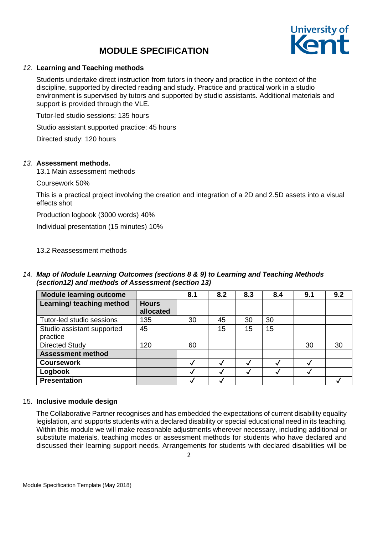## **MODULE SPECIFICATION**



#### *12.* **Learning and Teaching methods**

Students undertake direct instruction from tutors in theory and practice in the context of the discipline, supported by directed reading and study. Practice and practical work in a studio environment is supervised by tutors and supported by studio assistants. Additional materials and support is provided through the VLE.

Tutor-led studio sessions: 135 hours

Studio assistant supported practice: 45 hours

Directed study: 120 hours

#### *13.* **Assessment methods.**

13.1 Main assessment methods

Coursework 50%

This is a practical project involving the creation and integration of a 2D and 2.5D assets into a visual effects shot

Production logbook (3000 words) 40%

Individual presentation (15 minutes) 10%

13.2 Reassessment methods

*14. Map of Module Learning Outcomes (sections 8 & 9) to Learning and Teaching Methods (section12) and methods of Assessment (section 13)*

| <b>Module learning outcome</b>         |                           | 8.1 | 8.2 | 8.3 | 8.4 | 9.1 | 9.2 |
|----------------------------------------|---------------------------|-----|-----|-----|-----|-----|-----|
| Learning/ teaching method              | <b>Hours</b><br>allocated |     |     |     |     |     |     |
| Tutor-led studio sessions              | 135                       | 30  | 45  | 30  | 30  |     |     |
| Studio assistant supported<br>practice | 45                        |     | 15  | 15  | 15  |     |     |
| <b>Directed Study</b>                  | 120                       | 60  |     |     |     | 30  | 30  |
| <b>Assessment method</b>               |                           |     |     |     |     |     |     |
| <b>Coursework</b>                      |                           |     |     |     |     |     |     |
| Logbook                                |                           |     |     |     |     |     |     |
| <b>Presentation</b>                    |                           |     |     |     |     |     |     |

#### 15. **Inclusive module design**

The Collaborative Partner recognises and has embedded the expectations of current disability equality legislation, and supports students with a declared disability or special educational need in its teaching. Within this module we will make reasonable adjustments wherever necessary, including additional or substitute materials, teaching modes or assessment methods for students who have declared and discussed their learning support needs. Arrangements for students with declared disabilities will be